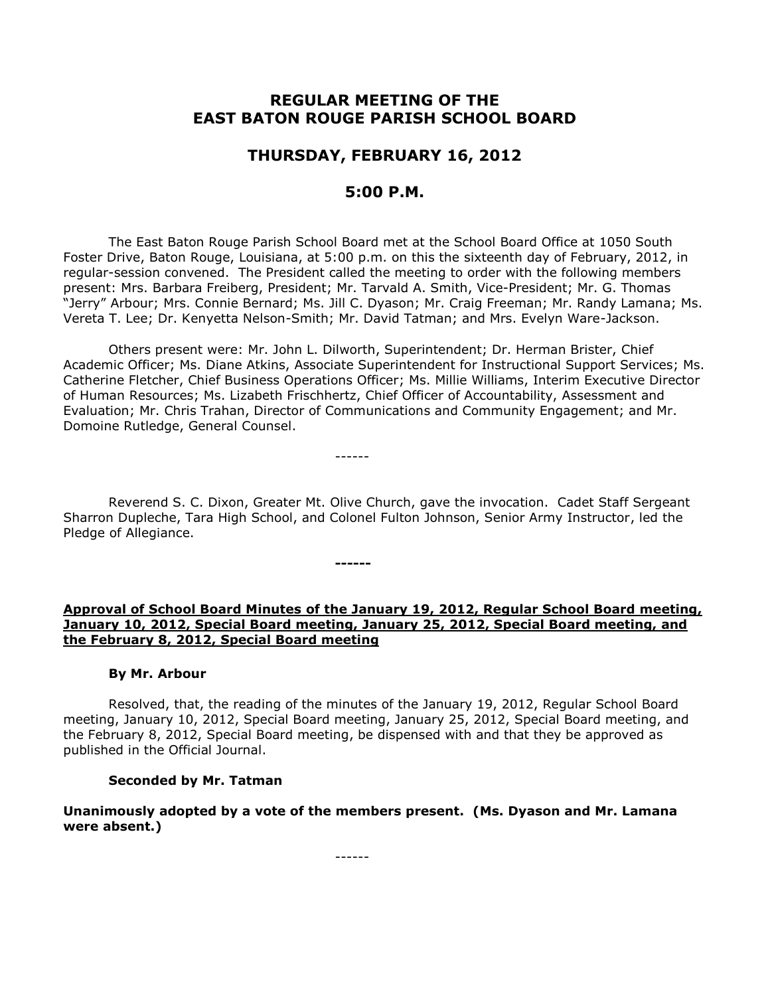# **REGULAR MEETING OF THE EAST BATON ROUGE PARISH SCHOOL BOARD**

# **THURSDAY, FEBRUARY 16, 2012**

## **5:00 P.M.**

The East Baton Rouge Parish School Board met at the School Board Office at 1050 South Foster Drive, Baton Rouge, Louisiana, at 5:00 p.m. on this the sixteenth day of February, 2012, in regular-session convened. The President called the meeting to order with the following members present: Mrs. Barbara Freiberg, President; Mr. Tarvald A. Smith, Vice-President; Mr. G. Thomas "Jerry" Arbour; Mrs. Connie Bernard; Ms. Jill C. Dyason; Mr. Craig Freeman; Mr. Randy Lamana; Ms. Vereta T. Lee; Dr. Kenyetta Nelson-Smith; Mr. David Tatman; and Mrs. Evelyn Ware-Jackson.

Others present were: Mr. John L. Dilworth, Superintendent; Dr. Herman Brister, Chief Academic Officer; Ms. Diane Atkins, Associate Superintendent for Instructional Support Services; Ms. Catherine Fletcher, Chief Business Operations Officer; Ms. Millie Williams, Interim Executive Director of Human Resources; Ms. Lizabeth Frischhertz, Chief Officer of Accountability, Assessment and Evaluation; Mr. Chris Trahan, Director of Communications and Community Engagement; and Mr. Domoine Rutledge, General Counsel.

Reverend S. C. Dixon, Greater Mt. Olive Church, gave the invocation. Cadet Staff Sergeant Sharron Dupleche, Tara High School, and Colonel Fulton Johnson, Senior Army Instructor, led the Pledge of Allegiance.

**------**

------

## **Approval of School Board Minutes of the January 19, 2012, Regular School Board meeting, January 10, 2012, Special Board meeting, January 25, 2012, Special Board meeting, and the February 8, 2012, Special Board meeting**

#### **By Mr. Arbour**

Resolved, that, the reading of the minutes of the January 19, 2012, Regular School Board meeting, January 10, 2012, Special Board meeting, January 25, 2012, Special Board meeting, and the February 8, 2012, Special Board meeting, be dispensed with and that they be approved as published in the Official Journal.

#### **Seconded by Mr. Tatman**

**Unanimously adopted by a vote of the members present. (Ms. Dyason and Mr. Lamana were absent.)**

------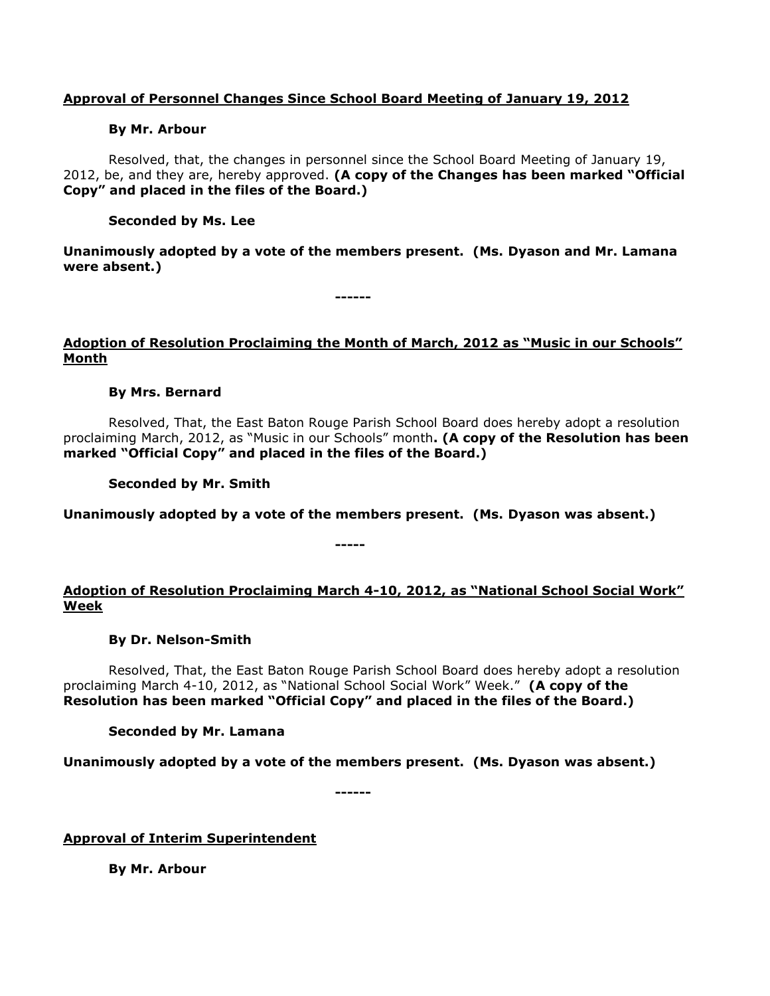## **Approval of Personnel Changes Since School Board Meeting of January 19, 2012**

## **By Mr. Arbour**

Resolved, that, the changes in personnel since the School Board Meeting of January 19, 2012, be, and they are, hereby approved. **(A copy of the Changes has been marked "Official Copy" and placed in the files of the Board.)**

## **Seconded by Ms. Lee**

**Unanimously adopted by a vote of the members present. (Ms. Dyason and Mr. Lamana were absent.)**

**------**

## **Adoption of Resolution Proclaiming the Month of March, 2012 as "Music in our Schools" Month**

## **By Mrs. Bernard**

Resolved, That, the East Baton Rouge Parish School Board does hereby adopt a resolution proclaiming March, 2012, as "Music in our Schools" month**. (A copy of the Resolution has been marked "Official Copy" and placed in the files of the Board.)**

**Seconded by Mr. Smith**

**Unanimously adopted by a vote of the members present. (Ms. Dyason was absent.)**

**-----**

## **Adoption of Resolution Proclaiming March 4-10, 2012, as "National School Social Work" Week**

## **By Dr. Nelson-Smith**

Resolved, That, the East Baton Rouge Parish School Board does hereby adopt a resolution proclaiming March 4-10, 2012, as "National School Social Work" Week." **(A copy of the Resolution has been marked "Official Copy" and placed in the files of the Board.)**

## **Seconded by Mr. Lamana**

**Unanimously adopted by a vote of the members present. (Ms. Dyason was absent.)**

**------**

**Approval of Interim Superintendent**

**By Mr. Arbour**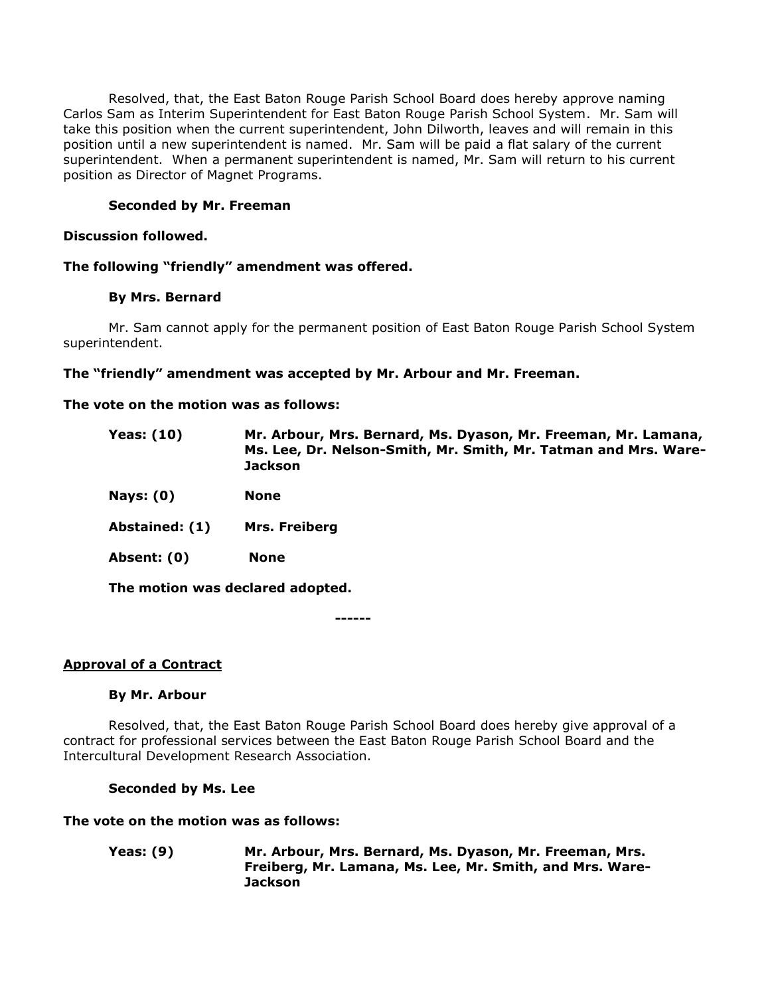Resolved, that, the East Baton Rouge Parish School Board does hereby approve naming Carlos Sam as Interim Superintendent for East Baton Rouge Parish School System. Mr. Sam will take this position when the current superintendent, John Dilworth, leaves and will remain in this position until a new superintendent is named. Mr. Sam will be paid a flat salary of the current superintendent. When a permanent superintendent is named, Mr. Sam will return to his current position as Director of Magnet Programs.

## **Seconded by Mr. Freeman**

## **Discussion followed.**

## **The following "friendly" amendment was offered.**

## **By Mrs. Bernard**

Mr. Sam cannot apply for the permanent position of East Baton Rouge Parish School System superintendent.

#### **The "friendly" amendment was accepted by Mr. Arbour and Mr. Freeman.**

#### **The vote on the motion was as follows:**

| Yeas: (10)       | Mr. Arbour, Mrs. Bernard, Ms. Dyason, Mr. Freeman, Mr. Lamana,<br>Ms. Lee, Dr. Nelson-Smith, Mr. Smith, Mr. Tatman and Mrs. Ware-<br><b>Jackson</b> |
|------------------|-----------------------------------------------------------------------------------------------------------------------------------------------------|
| <b>Nays: (0)</b> | <b>None</b>                                                                                                                                         |
| Abstained: (1)   | <b>Mrs. Freiberg</b>                                                                                                                                |
| Absent: (0)      | <b>None</b>                                                                                                                                         |
|                  | The motion was declared adopted.                                                                                                                    |

**------**

## **Approval of a Contract**

#### **By Mr. Arbour**

Resolved, that, the East Baton Rouge Parish School Board does hereby give approval of a contract for professional services between the East Baton Rouge Parish School Board and the Intercultural Development Research Association.

#### **Seconded by Ms. Lee**

#### **The vote on the motion was as follows:**

**Yeas: (9) Mr. Arbour, Mrs. Bernard, Ms. Dyason, Mr. Freeman, Mrs. Freiberg, Mr. Lamana, Ms. Lee, Mr. Smith, and Mrs. Ware-Jackson**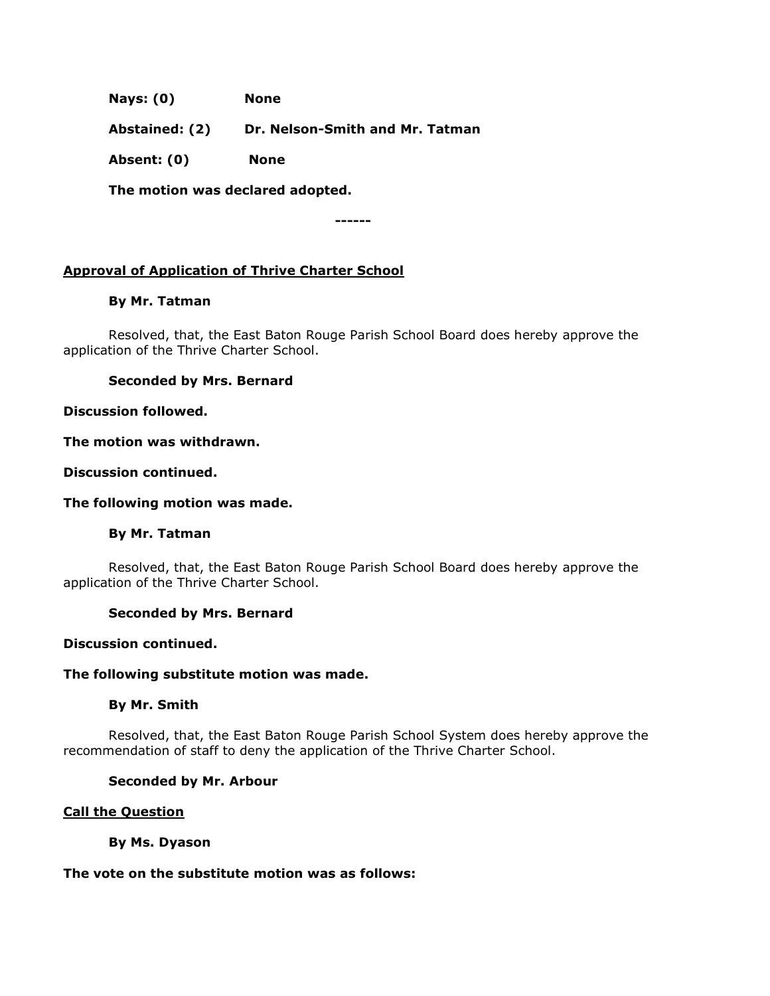**Nays: (0) None**

**Abstained: (2) Dr. Nelson-Smith and Mr. Tatman**

**Absent: (0) None**

**The motion was declared adopted.**

**------**

## **Approval of Application of Thrive Charter School**

#### **By Mr. Tatman**

Resolved, that, the East Baton Rouge Parish School Board does hereby approve the application of the Thrive Charter School.

#### **Seconded by Mrs. Bernard**

## **Discussion followed.**

**The motion was withdrawn.**

**Discussion continued.**

**The following motion was made.**

#### **By Mr. Tatman**

Resolved, that, the East Baton Rouge Parish School Board does hereby approve the application of the Thrive Charter School.

## **Seconded by Mrs. Bernard**

#### **Discussion continued.**

#### **The following substitute motion was made.**

## **By Mr. Smith**

Resolved, that, the East Baton Rouge Parish School System does hereby approve the recommendation of staff to deny the application of the Thrive Charter School.

#### **Seconded by Mr. Arbour**

## **Call the Question**

**By Ms. Dyason**

#### **The vote on the substitute motion was as follows:**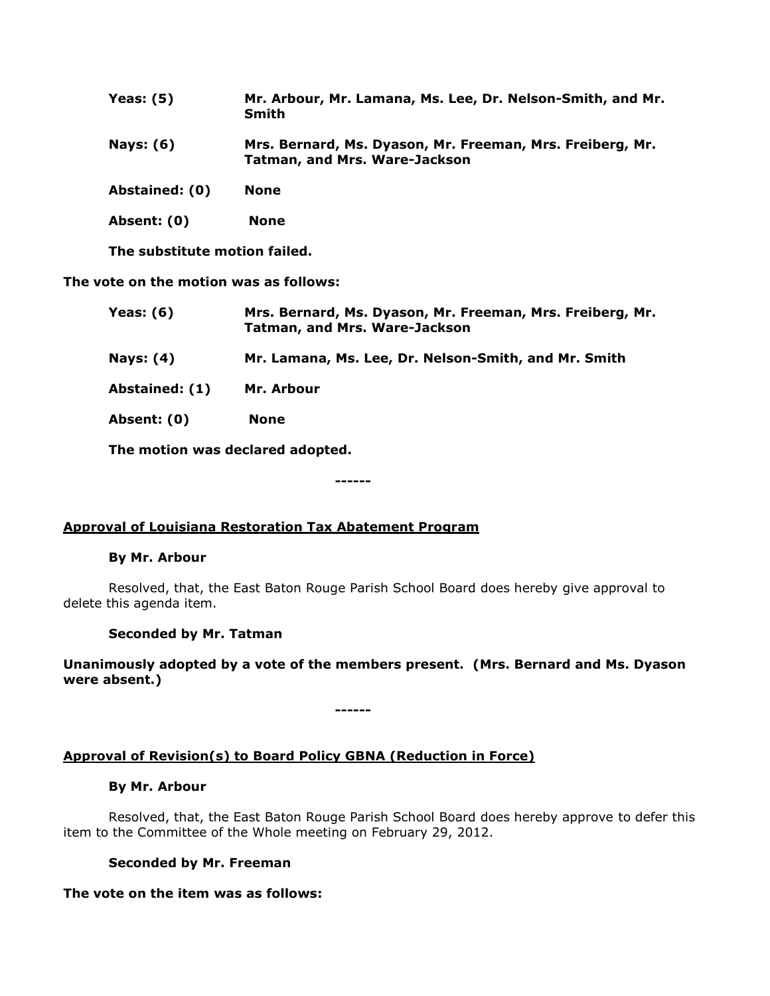| Yeas: $(5)$      | Mr. Arbour, Mr. Lamana, Ms. Lee, Dr. Nelson-Smith, and Mr.<br><b>Smith</b>                        |
|------------------|---------------------------------------------------------------------------------------------------|
| <b>Nays: (6)</b> | Mrs. Bernard, Ms. Dyason, Mr. Freeman, Mrs. Freiberg, Mr.<br><b>Tatman, and Mrs. Ware-Jackson</b> |
| Abstained: (0)   | <b>None</b>                                                                                       |
| Absent: (0)      | None                                                                                              |

**The substitute motion failed.**

**The vote on the motion was as follows:**

| Yeas: $(6)$    | Mrs. Bernard, Ms. Dyason, Mr. Freeman, Mrs. Freiberg, Mr.<br><b>Tatman, and Mrs. Ware-Jackson</b> |
|----------------|---------------------------------------------------------------------------------------------------|
| Nays: $(4)$    | Mr. Lamana, Ms. Lee, Dr. Nelson-Smith, and Mr. Smith                                              |
| Abstained: (1) | Mr. Arbour                                                                                        |
| Absent: (0)    | <b>None</b>                                                                                       |

**The motion was declared adopted.**

**Approval of Louisiana Restoration Tax Abatement Program**

## **By Mr. Arbour**

Resolved, that, the East Baton Rouge Parish School Board does hereby give approval to delete this agenda item.

**------**

## **Seconded by Mr. Tatman**

**Unanimously adopted by a vote of the members present. (Mrs. Bernard and Ms. Dyason were absent.)**

**------**

# **Approval of Revision(s) to Board Policy GBNA (Reduction in Force)**

# **By Mr. Arbour**

Resolved, that, the East Baton Rouge Parish School Board does hereby approve to defer this item to the Committee of the Whole meeting on February 29, 2012.

# **Seconded by Mr. Freeman**

# **The vote on the item was as follows:**